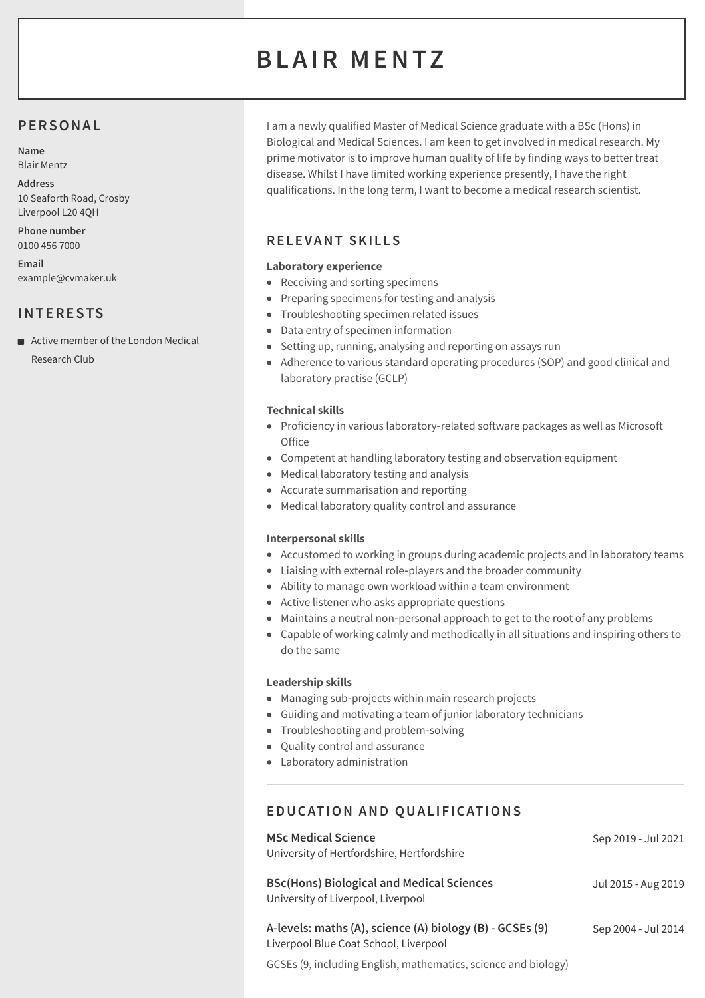# **BLAIR MENTZ**

# **PERSONAL**

**Name** Blair Mentz

**Address** 10 Seaforth Road, Crosby Liverpool L20 4QH

**Phone number** 0100 456 7000

**Email** example@cvmaker.uk

# **INTERESTS**

■ Active member of the London Medical Research Club

I am a newly qualified Master of Medical Science graduate with a BSc (Hons) in Biological and Medical Sciences. I am keen to get involved in medical research. My prime motivator is to improve human quality of life by finding ways to better treat disease. Whilst I have limited working experience presently, I have the right qualifications. In the long term, I want to become a medical research scientist.

# **RELEVANT SKI L LS**

## **Laboratory experience**

- Receiving and sorting specimens
- Preparing specimens for testing and analysis
- **•** Troubleshooting specimen related issues
- Data entry of specimen information
- Setting up, running, analysing and reporting on assays run
- Adherence to various standard operating procedures (SOP) and good clinical and laboratory practise (GCLP)

## **Technical skills**

- Proficiency in various laboratory-related software packages as well as Microsoft **Office**
- Competent at handling laboratory testing and observation equipment
- Medical laboratory testing and analysis
- Accurate summarisation and reporting
- Medical laboratory quality control and assurance

#### **Interpersonal skills**

- Accustomed to working in groups during academic projects and in laboratory teams
- Liaising with external role-players and the broader community
- Ability to manage own workload within a team environment
- Active listener who asks appropriate questions
- Maintains a neutral non-personal approach to get to the root of any problems
- Capable of working calmly and methodically in all situations and inspiring others to do the same

#### **Leadership skills**

- Managing sub-projects within main research projects
- Guiding and motivating a team of junior laboratory technicians
- Troubleshooting and problem-solving
- Ouality control and assurance
- Laboratory administration

# **EDUCATION AND QUAL IF ICATIONS**

| <b>MSc Medical Science</b><br>University of Hertfordshire, Hertfordshire                          | Sep 2019 - Jul 2021 |
|---------------------------------------------------------------------------------------------------|---------------------|
| <b>BSc(Hons) Biological and Medical Sciences</b><br>University of Liverpool, Liverpool            | Jul 2015 - Aug 2019 |
| A-levels: maths (A), science (A) biology (B) - GCSEs (9)<br>Liverpool Blue Coat School, Liverpool | Sep 2004 - Jul 2014 |
| GCSEs (9, including English, mathematics, science and biology)                                    |                     |